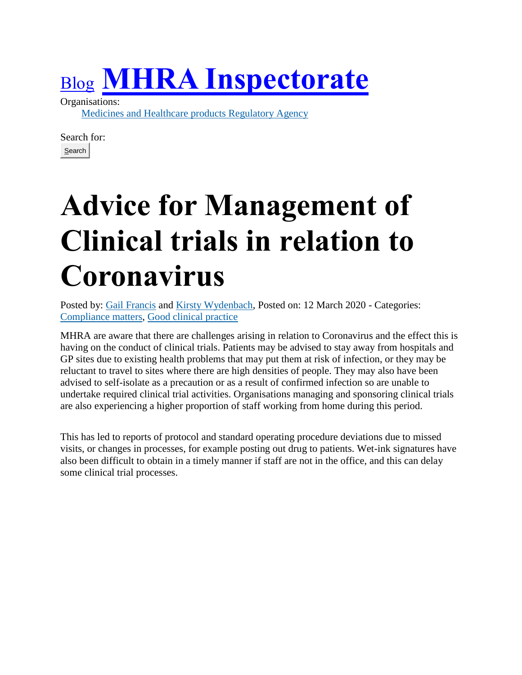## [Blog](https://www.blog.gov.uk/) **[MHRA Inspectorate](https://mhrainspectorate.blog.gov.uk/)**

Organisations:

[Medicines and Healthcare products Regulatory Agency](https://www.gov.uk/government/organisations/medicines-and-healthcare-products-regulatory-agency)

Search for: Search

## **Advice for Management of Clinical trials in relation to Coronavirus**

Posted by: [Gail Francis](https://mhrainspectorate.blog.gov.uk/author/gailfrancis/) and [Kirsty Wydenbach,](https://mhrainspectorate.blog.gov.uk/author/kirsty-wydenbach/) Posted on: 12 March 2020 - Categories: [Compliance matters,](https://mhrainspectorate.blog.gov.uk/category/compliance-matters/) [Good clinical practice](https://mhrainspectorate.blog.gov.uk/category/good-clinical-practice/)

MHRA are aware that there are challenges arising in relation to Coronavirus and the effect this is having on the conduct of clinical trials. Patients may be advised to stay away from hospitals and GP sites due to existing health problems that may put them at risk of infection, or they may be reluctant to travel to sites where there are high densities of people. They may also have been advised to self-isolate as a precaution or as a result of confirmed infection so are unable to undertake required clinical trial activities. Organisations managing and sponsoring clinical trials are also experiencing a higher proportion of staff working from home during this period.

This has led to reports of protocol and standard operating procedure deviations due to missed visits, or changes in processes, for example posting out drug to patients. Wet-ink signatures have also been difficult to obtain in a timely manner if staff are not in the office, and this can delay some clinical trial processes.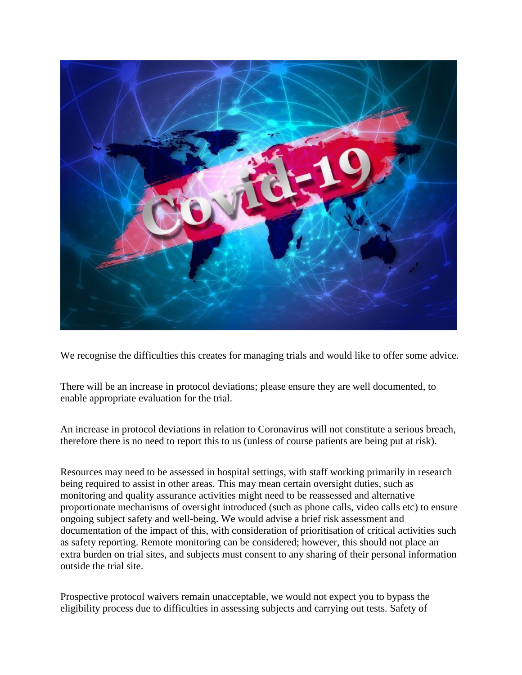

We recognise the difficulties this creates for managing trials and would like to offer some advice.

There will be an increase in protocol deviations; please ensure they are well documented, to enable appropriate evaluation for the trial.

An increase in protocol deviations in relation to Coronavirus will not constitute a serious breach, therefore there is no need to report this to us (unless of course patients are being put at risk).

Resources may need to be assessed in hospital settings, with staff working primarily in research being required to assist in other areas. This may mean certain oversight duties, such as monitoring and quality assurance activities might need to be reassessed and alternative proportionate mechanisms of oversight introduced (such as phone calls, video calls etc) to ensure ongoing subject safety and well-being. We would advise a brief risk assessment and documentation of the impact of this, with consideration of prioritisation of critical activities such as safety reporting. Remote monitoring can be considered; however, this should not place an extra burden on trial sites, and subjects must consent to any sharing of their personal information outside the trial site.

Prospective protocol waivers remain unacceptable, we would not expect you to bypass the eligibility process due to difficulties in assessing subjects and carrying out tests. Safety of